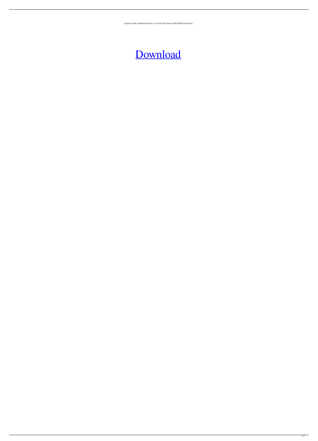Counter-Strike: Global Offensive V1.34.6.0 No-Steam UPDATED Crack Free

## [Download](http://evacdir.com/Q291bnRlci1TdHJpa2U6IEdsb2JhbCBPZmZlbnNpdmUgdjEuMzQuNi4wIE5vLVN0ZWFtIGNyYWNrIGZyZWUQ29.charismatically=orgeat.timelypaying?ktts=ZG93bmxvYWR8N2NVWlhaeVozeDhNVFkxTlRnME1qazRNWHg4TWpVNU1IeDhLRTBwSUZkdmNtUndjbVZ6Y3lCYldFMU1VbEJESUZZeUlGQkVSbDA)